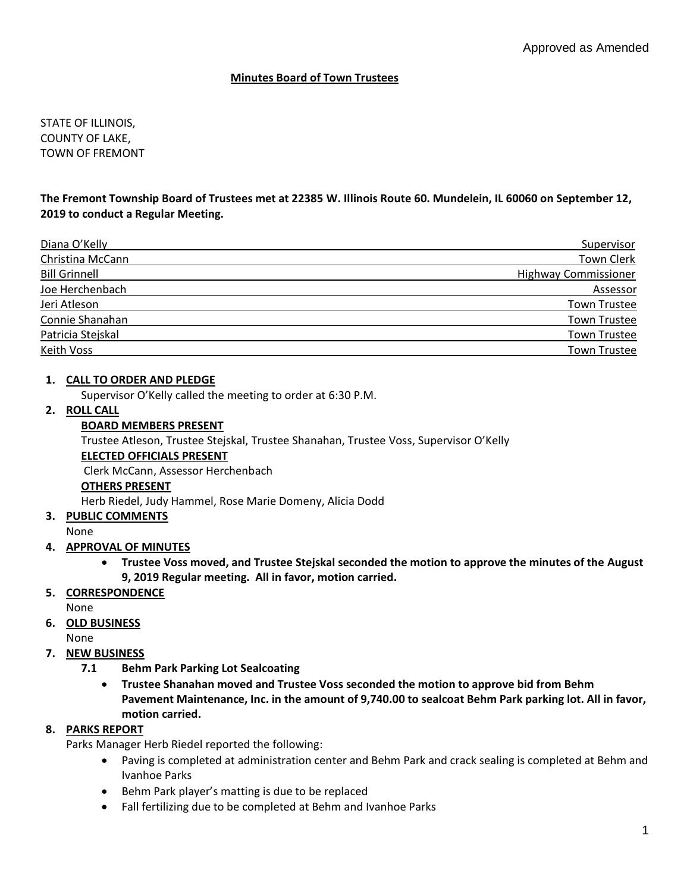### **Minutes Board of Town Trustees**

STATE OF ILLINOIS, COUNTY OF LAKE, TOWN OF FREMONT

### **The Fremont Township Board of Trustees met at 22385 W. Illinois Route 60. Mundelein, IL 60060 on September 12, 2019 to conduct a Regular Meeting.**

| Diana O'Kelly        | Supervisor                  |
|----------------------|-----------------------------|
| Christina McCann     | <b>Town Clerk</b>           |
| <b>Bill Grinnell</b> | <b>Highway Commissioner</b> |
| Joe Herchenbach      | Assessor                    |
| Jeri Atleson         | <b>Town Trustee</b>         |
| Connie Shanahan      | <b>Town Trustee</b>         |
| Patricia Stejskal    | <b>Town Trustee</b>         |
| Keith Voss           | <b>Town Trustee</b>         |

### **1. CALL TO ORDER AND PLEDGE**

Supervisor O'Kelly called the meeting to order at 6:30 P.M.

### **2. ROLL CALL**

#### **BOARD MEMBERS PRESENT**

Trustee Atleson, Trustee Stejskal, Trustee Shanahan, Trustee Voss, Supervisor O'Kelly

#### **ELECTED OFFICIALS PRESENT**

Clerk McCann, Assessor Herchenbach

#### **OTHERS PRESENT**

Herb Riedel, Judy Hammel, Rose Marie Domeny, Alicia Dodd

**3. PUBLIC COMMENTS**

### None

### **4. APPROVAL OF MINUTES**

• **Trustee Voss moved, and Trustee Stejskal seconded the motion to approve the minutes of the August 9, 2019 Regular meeting. All in favor, motion carried.** 

### **5. CORRESPONDENCE**

None

# **6. OLD BUSINESS**

None

### **7. NEW BUSINESS**

- **7.1 Behm Park Parking Lot Sealcoating**
	- **Trustee Shanahan moved and Trustee Voss seconded the motion to approve bid from Behm Pavement Maintenance, Inc. in the amount of 9,740.00 to sealcoat Behm Park parking lot. All in favor, motion carried.**

### **8. PARKS REPORT**

Parks Manager Herb Riedel reported the following:

- Paving is completed at administration center and Behm Park and crack sealing is completed at Behm and Ivanhoe Parks
- Behm Park player's matting is due to be replaced
- Fall fertilizing due to be completed at Behm and Ivanhoe Parks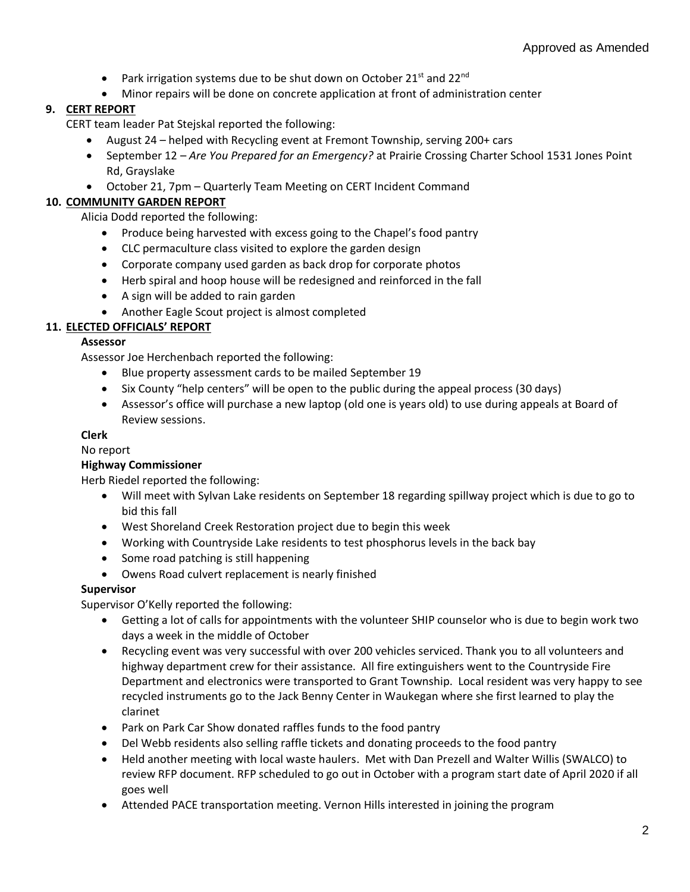- Park irrigation systems due to be shut down on October 21st and 22 $^{\text{nd}}$
- Minor repairs will be done on concrete application at front of administration center

# **9. CERT REPORT**

CERT team leader Pat Stejskal reported the following:

- August 24 helped with Recycling event at Fremont Township, serving 200+ cars
- September 12 *Are You Prepared for an Emergency?* at Prairie Crossing Charter School 1531 Jones Point Rd, Grayslake
- October 21, 7pm Quarterly Team Meeting on CERT Incident Command

# **10. COMMUNITY GARDEN REPORT**

Alicia Dodd reported the following:

- Produce being harvested with excess going to the Chapel's food pantry
- CLC permaculture class visited to explore the garden design
- Corporate company used garden as back drop for corporate photos
- Herb spiral and hoop house will be redesigned and reinforced in the fall
- A sign will be added to rain garden
- Another Eagle Scout project is almost completed

# **11. ELECTED OFFICIALS' REPORT**

# **Assessor**

Assessor Joe Herchenbach reported the following:

- Blue property assessment cards to be mailed September 19
- Six County "help centers" will be open to the public during the appeal process (30 days)
- Assessor's office will purchase a new laptop (old one is years old) to use during appeals at Board of Review sessions.

# **Clerk**

No report

# **Highway Commissioner**

Herb Riedel reported the following:

- Will meet with Sylvan Lake residents on September 18 regarding spillway project which is due to go to bid this fall
- West Shoreland Creek Restoration project due to begin this week
- Working with Countryside Lake residents to test phosphorus levels in the back bay
- Some road patching is still happening
- Owens Road culvert replacement is nearly finished

# **Supervisor**

Supervisor O'Kelly reported the following:

- Getting a lot of calls for appointments with the volunteer SHIP counselor who is due to begin work two days a week in the middle of October
- Recycling event was very successful with over 200 vehicles serviced. Thank you to all volunteers and highway department crew for their assistance. All fire extinguishers went to the Countryside Fire Department and electronics were transported to Grant Township. Local resident was very happy to see recycled instruments go to the Jack Benny Center in Waukegan where she first learned to play the clarinet
- Park on Park Car Show donated raffles funds to the food pantry
- Del Webb residents also selling raffle tickets and donating proceeds to the food pantry
- Held another meeting with local waste haulers. Met with Dan Prezell and Walter Willis (SWALCO) to review RFP document. RFP scheduled to go out in October with a program start date of April 2020 if all goes well
- Attended PACE transportation meeting. Vernon Hills interested in joining the program